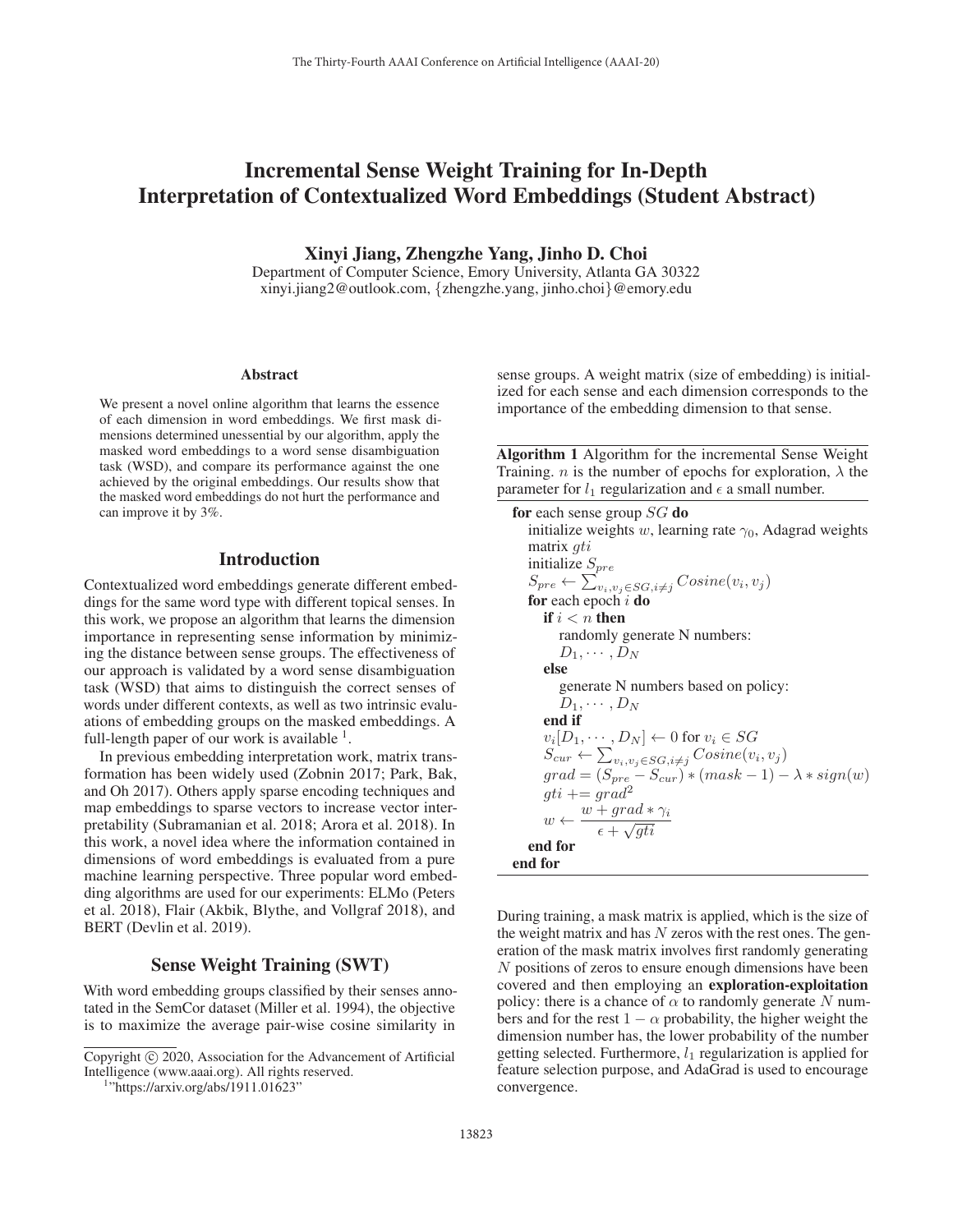# Incremental Sense Weight Training for In-Depth Interpretation of Contextualized Word Embeddings (Student Abstract)

Xinyi Jiang, Zhengzhe Yang, Jinho D. Choi

Department of Computer Science, Emory University, Atlanta GA 30322 xinyi.jiang2@outlook.com, {zhengzhe.yang, jinho.choi}@emory.edu

#### Abstract

We present a novel online algorithm that learns the essence of each dimension in word embeddings. We first mask dimensions determined unessential by our algorithm, apply the masked word embeddings to a word sense disambiguation task (WSD), and compare its performance against the one achieved by the original embeddings. Our results show that the masked word embeddings do not hurt the performance and can improve it by 3%.

## Introduction

Contextualized word embeddings generate different embeddings for the same word type with different topical senses. In this work, we propose an algorithm that learns the dimension importance in representing sense information by minimizing the distance between sense groups. The effectiveness of our approach is validated by a word sense disambiguation task (WSD) that aims to distinguish the correct senses of words under different contexts, as well as two intrinsic evaluations of embedding groups on the masked embeddings. A full-length paper of our work is available  $<sup>1</sup>$ .</sup>

In previous embedding interpretation work, matrix transformation has been widely used (Zobnin 2017; Park, Bak, and Oh 2017). Others apply sparse encoding techniques and map embeddings to sparse vectors to increase vector interpretability (Subramanian et al. 2018; Arora et al. 2018). In this work, a novel idea where the information contained in dimensions of word embeddings is evaluated from a pure machine learning perspective. Three popular word embedding algorithms are used for our experiments: ELMo (Peters et al. 2018), Flair (Akbik, Blythe, and Vollgraf 2018), and BERT (Devlin et al. 2019).

# Sense Weight Training (SWT)

With word embedding groups classified by their senses annotated in the SemCor dataset (Miller et al. 1994), the objective is to maximize the average pair-wise cosine similarity in

"https://arxiv.org/abs/1911.01623"

sense groups. A weight matrix (size of embedding) is initialized for each sense and each dimension corresponds to the importance of the embedding dimension to that sense.

Algorithm 1 Algorithm for the incremental Sense Weight Training. *n* is the number of epochs for exploration,  $\lambda$  the parameter for  $l_1$  regularization and  $\epsilon$  a small number.

```
for each sense group SG do
   initialize weights w, learning rate \gamma_0, Adagrad weights
   matrix gti
   initialize S_{pre}S_{pre} \leftarrow \sum_{v_i, v_j \in SG, i \neq j} Cosine(v_i, v_j)for each epoch i do
      if i < n then
         randomly generate N numbers:
         D_1, \cdots, D_Nelse
         generate N numbers based on policy:
         D_1, \cdots, D_Nend if
      v_i[D_1, \cdots, D_N] \leftarrow 0 for v_i \in SGS_{cur} \leftarrow \sum_{v_i, v_j \in SG, i \neq j} Cosine(v_i, v_j)grad = (S_{pre} - S_{cur}) * (mask - 1) - \lambda * sign(w)gti += grad^2w \leftarrow \frac{w + grad * \gamma_i}{\epsilon + \sqrt{gti}}end for
end for
```
During training, a mask matrix is applied, which is the size of the weight matrix and has  $N$  zeros with the rest ones. The generation of the mask matrix involves first randomly generating N positions of zeros to ensure enough dimensions have been covered and then employing an exploration-exploitation policy: there is a chance of  $\alpha$  to randomly generate N numbers and for the rest  $1 - \alpha$  probability, the higher weight the dimension number has, the lower probability of the number getting selected. Furthermore,  $l_1$  regularization is applied for feature selection purpose, and AdaGrad is used to encourage convergence.

Copyright  $\odot$  2020, Association for the Advancement of Artificial Intelligence (www.aaai.org). All rights reserved.